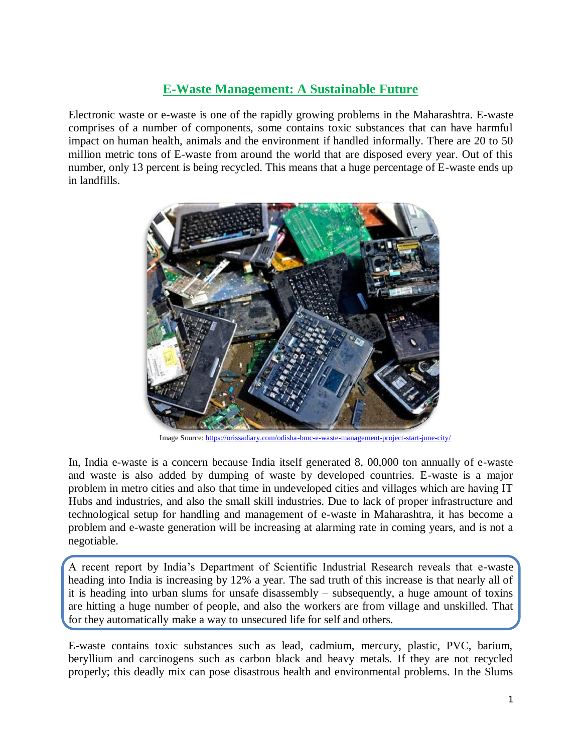## **E-Waste Management: A Sustainable Future**

Electronic waste or e-waste is one of the rapidly growing problems in the Maharashtra. E-waste comprises of a number of components, some contains toxic substances that can have harmful impact on human health, animals and the environment if handled informally. There are 20 to 50 million metric tons of E-waste from around the world that are disposed every year. Out of this number, only 13 percent is being recycled. This means that a huge percentage of E-waste ends up in landfills.



Image Source[: https://orissadiary.com/odisha-bmc-e-waste-management-project-start-june-city/](https://orissadiary.com/odisha-bmc-e-waste-management-project-start-june-city/)

In, India e-waste is a concern because India itself generated 8, 00,000 ton annually of e-waste and waste is also added by dumping of waste by developed countries. E-waste is a major problem in metro cities and also that time in undeveloped cities and villages which are having IT Hubs and industries, and also the small skill industries. Due to lack of proper infrastructure and technological setup for handling and management of e-waste in Maharashtra, it has become a problem and e-waste generation will be increasing at alarming rate in coming years, and is not a negotiable.

A recent report by India's Department of Scientific Industrial Research reveals that e-waste heading into India is increasing by 12% a year. The sad truth of this increase is that nearly all of it is heading into urban slums for unsafe disassembly – subsequently, a huge amount of toxins are hitting a huge number of people, and also the workers are from village and unskilled. That for they automatically make a way to unsecured life for self and others.

E-waste contains toxic substances such as lead, cadmium, mercury, plastic, PVC, barium, beryllium and carcinogens such as carbon black and heavy metals. If they are not recycled properly; this deadly mix can pose disastrous health and environmental problems. In the Slums